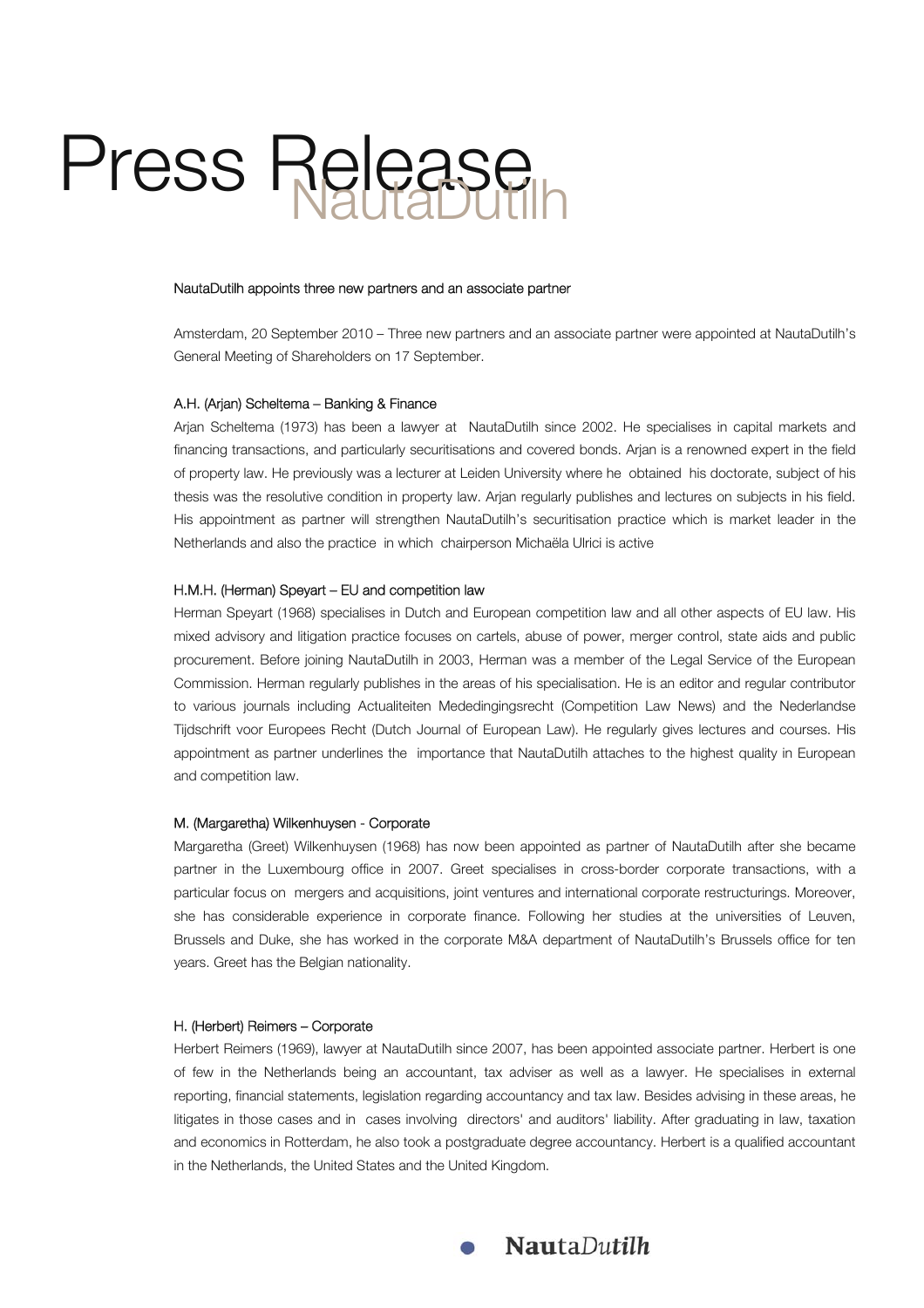# Press Release NautaDutilh

#### NautaDutilh appoints three new partners and an associate partner

Amsterdam, 20 September 2010 – Three new partners and an associate partner were appointed at NautaDutilh's General Meeting of Shareholders on 17 September.

#### A.H. (Arjan) Scheltema - Banking & Finance

Arjan Scheltema (1973) has been a lawyer at NautaDutilh since 2002. He specialises in capital markets and financing transactions, and particularly securitisations and covered bonds. Arjan is a renowned expert in the field of property law. He previously was a lecturer at Leiden University where he obtained his doctorate, subject of his thesis was the resolutive condition in property law. Arjan regularly publishes and lectures on subjects in his field. His appointment as partner will strengthen NautaDutilh's securitisation practice which is market leader in the Netherlands and also the practice in which chairperson Michaëla Ulrici is active

## H.M.H. (Herman) Speyart - EU and competition law

Herman Speyart (1968) specialises in Dutch and European competition law and all other aspects of EU law. His mixed advisory and litigation practice focuses on cartels, abuse of power, merger control, state aids and public procurement. Before joining NautaDutilh in 2003, Herman was a member of the Legal Service of the European Commission. Herman regularly publishes in the areas of his specialisation. He is an editor and regular contributor to various journals including Actualiteiten Mededingingsrecht (Competition Law News) and the Nederlandse Tijdschrift voor Europees Recht (Dutch Journal of European Law). He regularly gives lectures and courses. His appointment as partner underlines the importance that NautaDutilh attaches to the highest quality in European and competition law.

#### M. (Margaretha) Wilkenhuysen - Corporate

Margaretha (Greet) Wilkenhuysen (1968) has now been appointed as partner of NautaDutilh after she became partner in the Luxembourg office in 2007. Greet specialises in cross-border corporate transactions, with a particular focus on mergers and acquisitions, joint ventures and international corporate restructurings. Moreover, she has considerable experience in corporate finance. Following her studies at the universities of Leuven, Brussels and Duke, she has worked in the corporate M&A department of NautaDutilh's Brussels office for ten years. Greet has the Belgian nationality.

#### H. (Herbert) Reimers - Corporate

Herbert Reimers (1969), lawyer at NautaDutilh since 2007, has been appointed associate partner. Herbert is one of few in the Netherlands being an accountant, tax adviser as well as a lawyer. He specialises in external reporting, financial statements, legislation regarding accountancy and tax law. Besides advising in these areas, he litigates in those cases and in cases involving directors' and auditors' liability. After graduating in law, taxation and economics in Rotterdam, he also took a postgraduate degree accountancy. Herbert is a qualified accountant in the Netherlands, the United States and the United Kingdom.